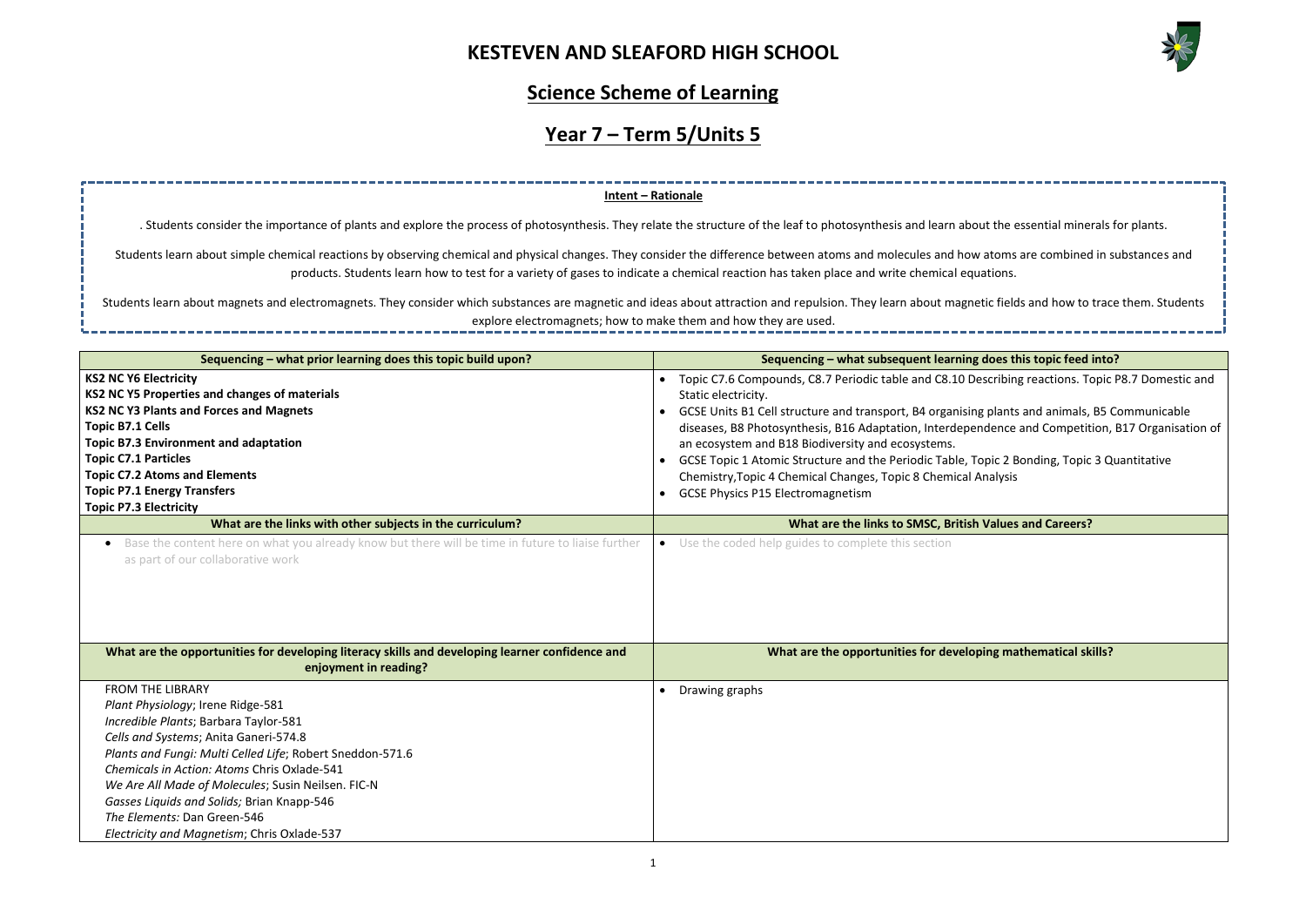

| the essential minerals for plants.                                               |
|----------------------------------------------------------------------------------|
| toms are combined in substances and<br>tions.                                    |
| c fields and how to trace them. Students                                         |
|                                                                                  |
| oes this topic feed into?                                                        |
| cribing reactions. Topic P8.7 Domestic and                                       |
| plants and animals, B5 Communicable<br>ence and Competition, B17 Organisation of |
| ic 2 Bonding, Topic 3 Quantitative<br>alysis                                     |
|                                                                                  |
| alues and Careers?                                                               |
|                                                                                  |
|                                                                                  |
|                                                                                  |
|                                                                                  |
| ng mathematical skills?                                                          |
|                                                                                  |
|                                                                                  |
|                                                                                  |
|                                                                                  |
|                                                                                  |
|                                                                                  |

------

### **Science Scheme of Learning**

# **Year 7 – Term 5/Units 5**

| Sequencing - what prior learning does this topic build upon?                                                                                                                                                                                                                                                                                                                                                                                 | Sequencing - what subsequent learning does this topic feed into?                                                                                                                                                                                                                                                                                                                                                                                                                                                                                                                                                                        |
|----------------------------------------------------------------------------------------------------------------------------------------------------------------------------------------------------------------------------------------------------------------------------------------------------------------------------------------------------------------------------------------------------------------------------------------------|-----------------------------------------------------------------------------------------------------------------------------------------------------------------------------------------------------------------------------------------------------------------------------------------------------------------------------------------------------------------------------------------------------------------------------------------------------------------------------------------------------------------------------------------------------------------------------------------------------------------------------------------|
| <b>KS2 NC Y6 Electricity</b><br><b>KS2 NC Y5 Properties and changes of materials</b><br><b>KS2 NC Y3 Plants and Forces and Magnets</b><br><b>Topic B7.1 Cells</b><br><b>Topic B7.3 Environment and adaptation</b><br><b>Topic C7.1 Particles</b><br><b>Topic C7.2 Atoms and Elements</b><br><b>Topic P7.1 Energy Transfers</b><br><b>Topic P7.3 Electricity</b>                                                                              | Topic C7.6 Compounds, C8.7 Periodic table and C8.10 Describing reactions. Topic P8.7 Domestic and<br>Static electricity.<br>GCSE Units B1 Cell structure and transport, B4 organising plants and animals, B5 Communicable<br>$\bullet$<br>diseases, B8 Photosynthesis, B16 Adaptation, Interdependence and Competition, B17 Organisation of<br>an ecosystem and B18 Biodiversity and ecosystems.<br>GCSE Topic 1 Atomic Structure and the Periodic Table, Topic 2 Bonding, Topic 3 Quantitative<br>$\bullet$<br>Chemistry, Topic 4 Chemical Changes, Topic 8 Chemical Analysis<br><b>GCSE Physics P15 Electromagnetism</b><br>$\bullet$ |
| What are the links with other subjects in the curriculum?                                                                                                                                                                                                                                                                                                                                                                                    | What are the links to SMSC, British Values and Careers?                                                                                                                                                                                                                                                                                                                                                                                                                                                                                                                                                                                 |
| • Base the content here on what you already know but there will be time in future to liaise further<br>as part of our collaborative work                                                                                                                                                                                                                                                                                                     | • Use the coded help guides to complete this section                                                                                                                                                                                                                                                                                                                                                                                                                                                                                                                                                                                    |
| What are the opportunities for developing literacy skills and developing learner confidence and<br>enjoyment in reading?                                                                                                                                                                                                                                                                                                                     | What are the opportunities for developing mathematical skills?                                                                                                                                                                                                                                                                                                                                                                                                                                                                                                                                                                          |
| <b>FROM THE LIBRARY</b><br>Plant Physiology; Irene Ridge-581<br>Incredible Plants; Barbara Taylor-581<br>Cells and Systems; Anita Ganeri-574.8<br>Plants and Fungi: Multi Celled Life; Robert Sneddon-571.6<br>Chemicals in Action: Atoms Chris Oxlade-541<br>We Are All Made of Molecules; Susin Neilsen. FIC-N<br>Gasses Liquids and Solids; Brian Knapp-546<br>The Elements: Dan Green-546<br>Electricity and Magnetism; Chris Oxlade-537 | Drawing graphs                                                                                                                                                                                                                                                                                                                                                                                                                                                                                                                                                                                                                          |

Students learn about magnets and electromagnets. They consider which substances are magnetic and ideas about attraction and repulsion. They learn about magnetic explore electromagnets; how to make them and how they are used.

### **Intent – Rationale**

. Students consider the importance of plants and explore the process of photosynthesis. They relate the structure of the leaf to photosynthesis and learn about

Students learn about simple chemical reactions by observing chemical and physical changes. They consider the difference between atoms and molecules and how at products. Students learn how to test for a variety of gases to indicate a chemical reaction has taken place and write chemical equat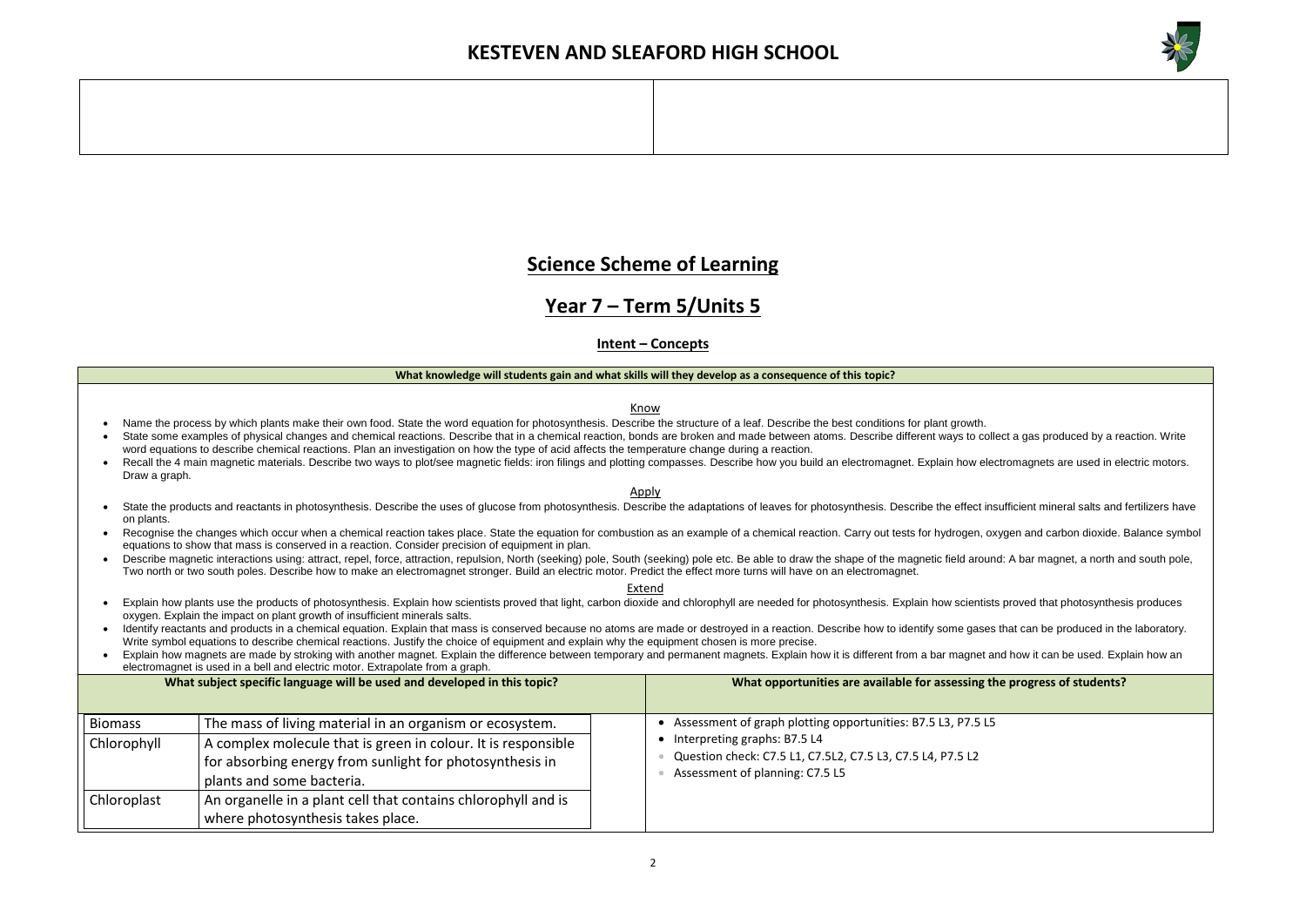

#### **the progress of students?**

### **Science Scheme of Learning**

### **Year 7 – Term 5/Units 5**

**Intent – Concepts**

- Name the process by which plants make their own food. State the word equation for photosynthesis. Describe the structure of a leaf. Describe the best conditions for plant growth.
- State some examples of physical changes and chemical reactions. Describe that in a chemical reaction, bonds are broken and made between atoms. Describe different ways to collect a gas produced by a reaction. Write word equations to describe chemical reactions. Plan an investigation on how the type of acid affects the temperature change during a reaction.
- Recall the 4 main magnetic materials. Describe two ways to plot/see magnetic fields: iron filings and plotting compasses. Describe how you build an electromagnet. Explain how electromagnets are used in electric motors. Draw a graph.

#### **What knowledge will students gain and what skills will they develop as a consequence of this topic?**

Know

- State the products and reactants in photosynthesis. Describe the uses of glucose from photosynthesis. Describe the adaptations of leaves for photosynthesis. Describe the effect insufficient mineral salts and fertilizers ha on plants.
- Recognise the changes which occur when a chemical reaction takes place. State the equation for combustion as an example of a chemical reaction. Carry out tests for hydrogen, oxygen and carbon dioxide. Balance symbol equations to show that mass is conserved in a reaction. Consider precision of equipment in plan.
- Describe magnetic interactions using: attract, repel, force, attraction, repulsion, North (seeking) pole, South (seeking) pole etc. Be able to draw the shape of the magnetic field around: A bar magnet, a north and south po Two north or two south poles. Describe how to make an electromagnet stronger. Build an electric motor. Predict the effect more turns will have on an electromagnet.

Apply

Extend

- Explain how plants use the products of photosynthesis. Explain how scientists proved that light, carbon dioxide and chlorophyll are needed for photosynthesis. Explain how scientists proved that photosynthesis produces oxygen. Explain the impact on plant growth of insufficient minerals salts.
- Identify reactants and products in a chemical equation. Explain that mass is conserved because no atoms are made or destroyed in a reaction. Describe how to identify some gases that can be produced in the laboratory. Write symbol equations to describe chemical reactions. Justify the choice of equipment and explain why the equipment chosen is more precise.
- Explain how magnets are made by stroking with another magnet. Explain the difference between temporary and permanent magnets. Explain how it is different from a bar magnet and how it can be used. Explain how an electromagnet is used in a bell and electric motor. Extrapolate from a graph.

|                               | What subject specific language will be used and developed in this topic?                                                                                                                                           | What opportunities are available for assessing the                                                                                                                                            |
|-------------------------------|--------------------------------------------------------------------------------------------------------------------------------------------------------------------------------------------------------------------|-----------------------------------------------------------------------------------------------------------------------------------------------------------------------------------------------|
| <b>Biomass</b><br>Chlorophyll | The mass of living material in an organism or ecosystem.<br>A complex molecule that is green in colour. It is responsible<br>for absorbing energy from sunlight for photosynthesis in<br>plants and some bacteria. | Assessment of graph plotting opportunities: B7.5 L3, P7.5 L5<br>Interpreting graphs: B7.5 L4<br>Question check: C7.5 L1, C7.5L2, C7.5 L3, C7.5 L4, P7.5 L2<br>Assessment of planning: C7.5 L5 |
| Chloroplast                   | An organelle in a plant cell that contains chlorophyll and is<br>where photosynthesis takes place.                                                                                                                 |                                                                                                                                                                                               |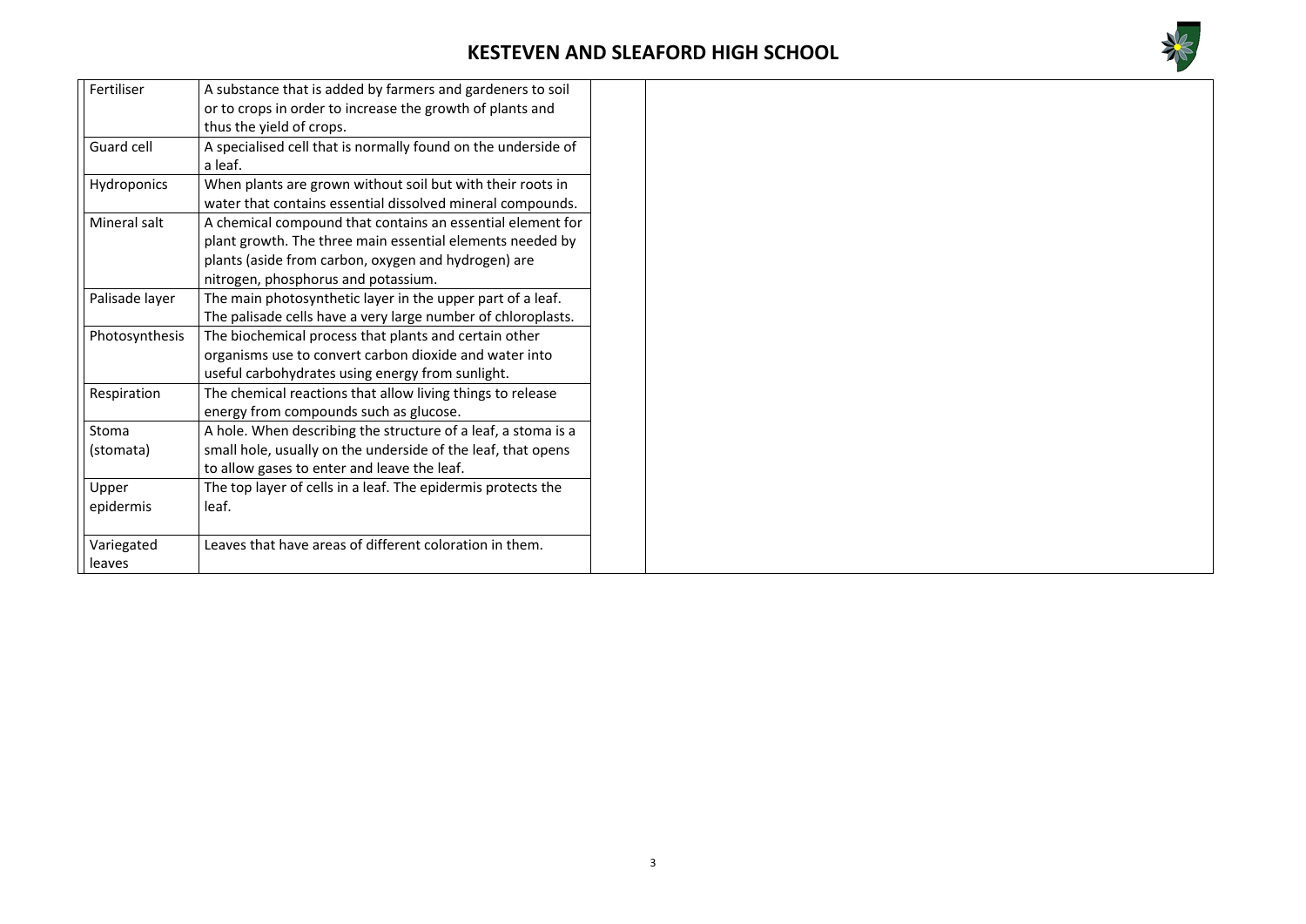

| Fertiliser        | A substance that is added by farmers and gardeners to soil    |  |
|-------------------|---------------------------------------------------------------|--|
|                   | or to crops in order to increase the growth of plants and     |  |
|                   | thus the yield of crops.                                      |  |
| <b>Guard cell</b> | A specialised cell that is normally found on the underside of |  |
|                   | a leaf.                                                       |  |
| Hydroponics       | When plants are grown without soil but with their roots in    |  |
|                   | water that contains essential dissolved mineral compounds.    |  |
| Mineral salt      | A chemical compound that contains an essential element for    |  |
|                   | plant growth. The three main essential elements needed by     |  |
|                   | plants (aside from carbon, oxygen and hydrogen) are           |  |
|                   | nitrogen, phosphorus and potassium.                           |  |
| Palisade layer    | The main photosynthetic layer in the upper part of a leaf.    |  |
|                   | The palisade cells have a very large number of chloroplasts.  |  |
| Photosynthesis    | The biochemical process that plants and certain other         |  |
|                   | organisms use to convert carbon dioxide and water into        |  |
|                   | useful carbohydrates using energy from sunlight.              |  |
| Respiration       | The chemical reactions that allow living things to release    |  |
|                   | energy from compounds such as glucose.                        |  |
| Stoma             | A hole. When describing the structure of a leaf, a stoma is a |  |
| (stomata)         | small hole, usually on the underside of the leaf, that opens  |  |
|                   | to allow gases to enter and leave the leaf.                   |  |
| Upper             | The top layer of cells in a leaf. The epidermis protects the  |  |
| epidermis         | leaf.                                                         |  |
|                   |                                                               |  |
| Variegated        | Leaves that have areas of different coloration in them.       |  |
| leaves            |                                                               |  |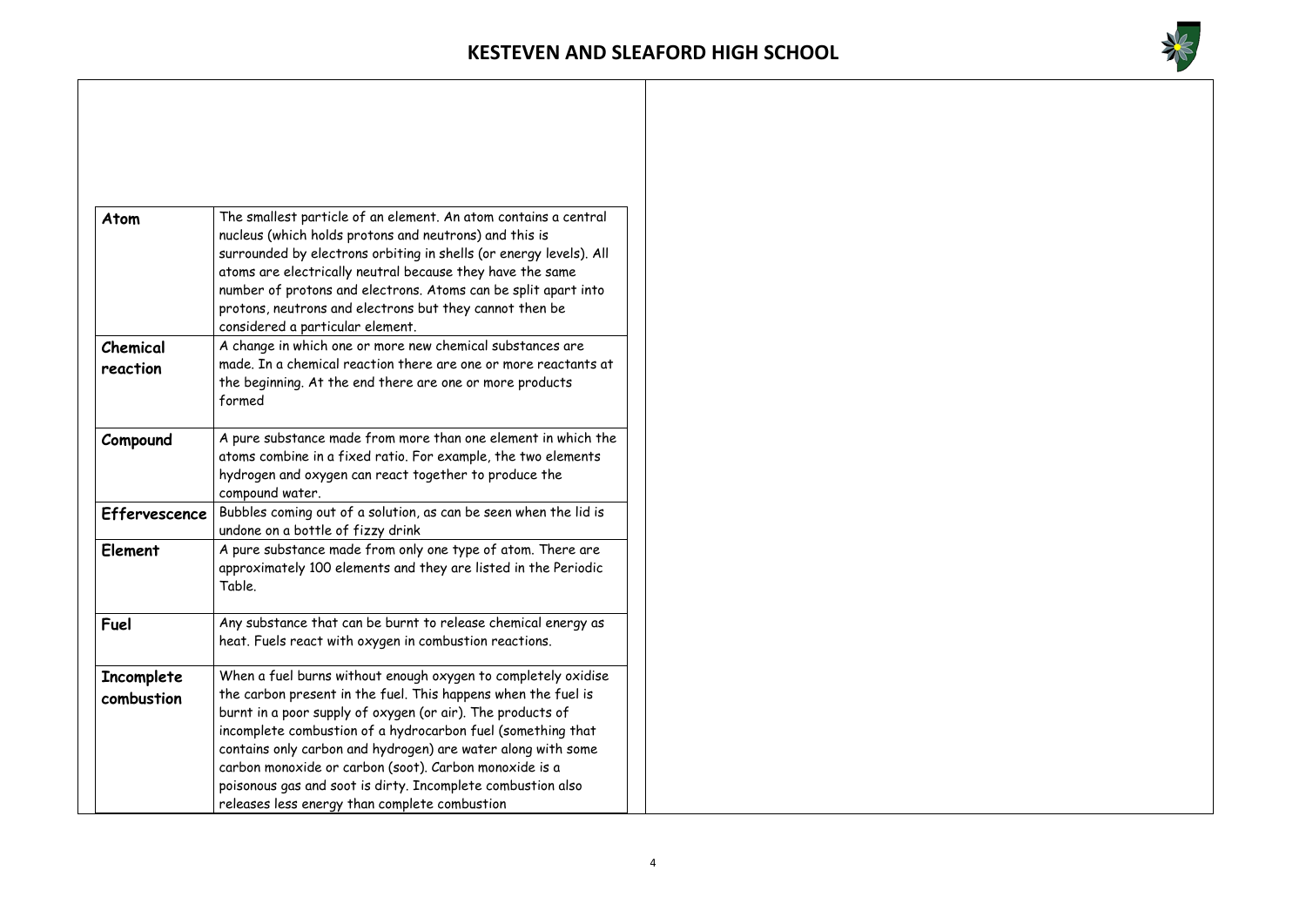

| <b>Atom</b>              | The smallest particle of an element. An atom contains a central<br>nucleus (which holds protons and neutrons) and this is<br>surrounded by electrons orbiting in shells (or energy levels). All<br>atoms are electrically neutral because they have the same<br>number of protons and electrons. Atoms can be split apart into<br>protons, neutrons and electrons but they cannot then be                                                            |
|--------------------------|------------------------------------------------------------------------------------------------------------------------------------------------------------------------------------------------------------------------------------------------------------------------------------------------------------------------------------------------------------------------------------------------------------------------------------------------------|
|                          | considered a particular element.                                                                                                                                                                                                                                                                                                                                                                                                                     |
| Chemical<br>reaction     | A change in which one or more new chemical substances are<br>made. In a chemical reaction there are one or more reactants at<br>the beginning. At the end there are one or more products<br>formed                                                                                                                                                                                                                                                   |
| Compound                 | A pure substance made from more than one element in which the<br>atoms combine in a fixed ratio. For example, the two elements<br>hydrogen and oxygen can react together to produce the<br>compound water.                                                                                                                                                                                                                                           |
| <b>Effervescence</b>     | Bubbles coming out of a solution, as can be seen when the lid is<br>undone on a bottle of fizzy drink                                                                                                                                                                                                                                                                                                                                                |
| Element                  | A pure substance made from only one type of atom. There are<br>approximately 100 elements and they are listed in the Periodic<br>Table.                                                                                                                                                                                                                                                                                                              |
| <b>Fuel</b>              | Any substance that can be burnt to release chemical energy as<br>heat. Fuels react with oxygen in combustion reactions.                                                                                                                                                                                                                                                                                                                              |
| Incomplete<br>combustion | When a fuel burns without enough oxygen to completely oxidise<br>the carbon present in the fuel. This happens when the fuel is<br>burnt in a poor supply of oxygen (or air). The products of<br>incomplete combustion of a hydrocarbon fuel (something that<br>contains only carbon and hydrogen) are water along with some<br>carbon monoxide or carbon (soot). Carbon monoxide is a<br>poisonous gas and soot is dirty. Incomplete combustion also |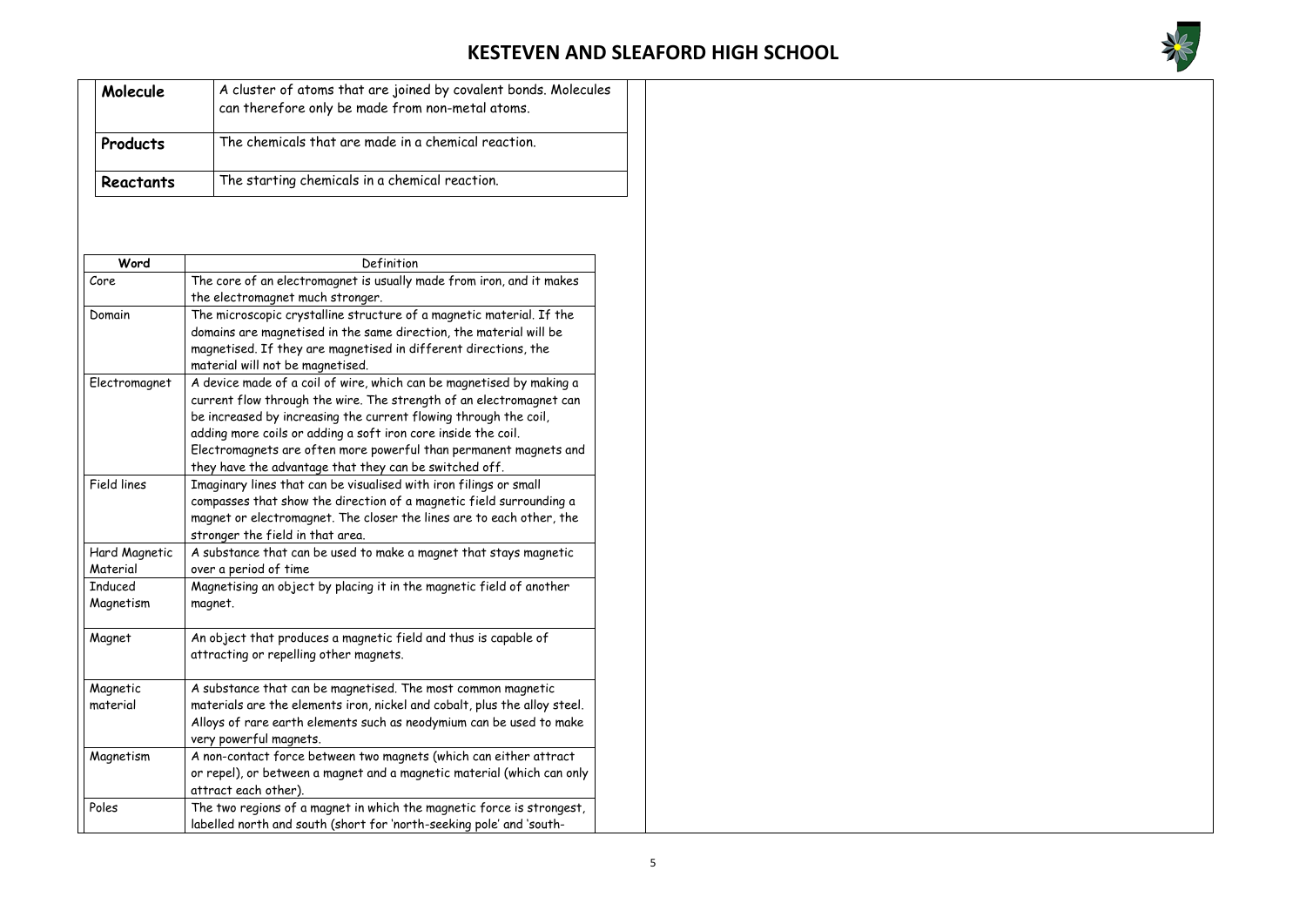

| Molecule  | A cluster of atoms that are joined by covalent bonds. Molecules<br>can therefore only be made from non-metal atoms. |
|-----------|---------------------------------------------------------------------------------------------------------------------|
| Products  | The chemicals that are made in a chemical reaction.                                                                 |
| Reactants | The starting chemicals in a chemical reaction.                                                                      |

| Word               | Definition                                                                |  |  |  |  |
|--------------------|---------------------------------------------------------------------------|--|--|--|--|
| Core               | The core of an electromagnet is usually made from iron, and it makes      |  |  |  |  |
|                    | the electromagnet much stronger.                                          |  |  |  |  |
| Domain             | The microscopic crystalline structure of a magnetic material. If the      |  |  |  |  |
|                    | domains are magnetised in the same direction, the material will be        |  |  |  |  |
|                    | magnetised. If they are magnetised in different directions, the           |  |  |  |  |
|                    | material will not be magnetised.                                          |  |  |  |  |
| Electromagnet      | A device made of a coil of wire, which can be magnetised by making a      |  |  |  |  |
|                    | current flow through the wire. The strength of an electromagnet can       |  |  |  |  |
|                    | be increased by increasing the current flowing through the coil,          |  |  |  |  |
|                    | adding more coils or adding a soft iron core inside the coil.             |  |  |  |  |
|                    | Electromagnets are often more powerful than permanent magnets and         |  |  |  |  |
|                    | they have the advantage that they can be switched off.                    |  |  |  |  |
| <b>Field lines</b> | Imaginary lines that can be visualised with iron filings or small         |  |  |  |  |
|                    | compasses that show the direction of a magnetic field surrounding a       |  |  |  |  |
|                    | magnet or electromagnet. The closer the lines are to each other, the      |  |  |  |  |
|                    | stronger the field in that area.                                          |  |  |  |  |
| Hard Magnetic      | A substance that can be used to make a magnet that stays magnetic         |  |  |  |  |
| Material           | over a period of time                                                     |  |  |  |  |
| <b>Induced</b>     | Magnetising an object by placing it in the magnetic field of another      |  |  |  |  |
| Magnetism          | magnet.                                                                   |  |  |  |  |
| Magnet             | An object that produces a magnetic field and thus is capable of           |  |  |  |  |
|                    | attracting or repelling other magnets.                                    |  |  |  |  |
| Magnetic           | A substance that can be magnetised. The most common magnetic              |  |  |  |  |
| material           | materials are the elements iron, nickel and cobalt, plus the alloy steel. |  |  |  |  |
|                    | Alloys of rare earth elements such as neodymium can be used to make       |  |  |  |  |
|                    | very powerful magnets.                                                    |  |  |  |  |
| Magnetism          | A non-contact force between two magnets (which can either attract         |  |  |  |  |
|                    | or repel), or between a magnet and a magnetic material (which can only    |  |  |  |  |
|                    | attract each other).                                                      |  |  |  |  |
| Poles              | The two regions of a magnet in which the magnetic force is strongest,     |  |  |  |  |
|                    | labelled north and south (short for 'north-seeking pole' and 'south-      |  |  |  |  |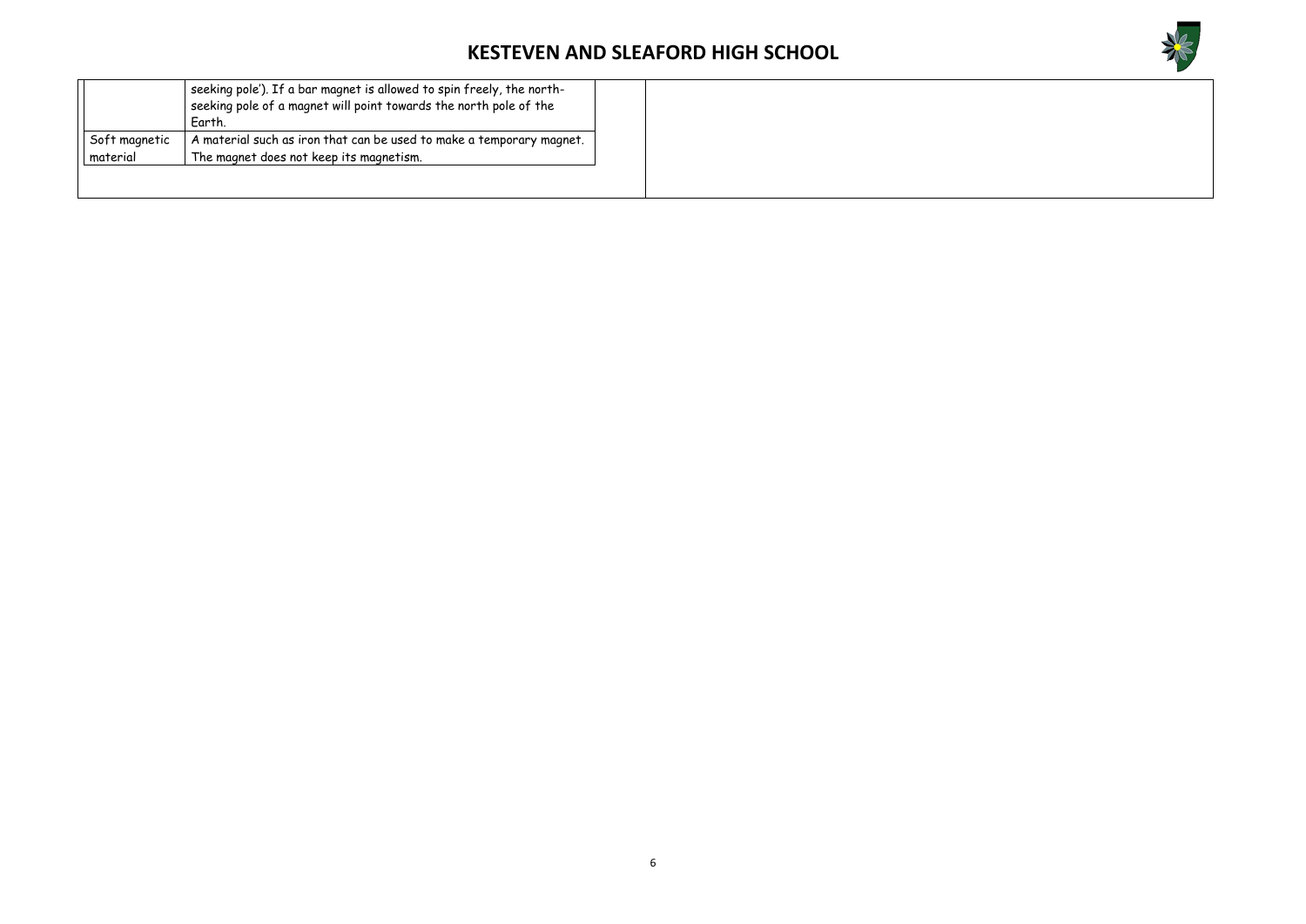

|               | seeking pole'). If a bar magnet is allowed to spin freely, the north-<br>$^\text{l}$ seeking pole of a magnet will point towards the north pole of the<br>Earth. |
|---------------|------------------------------------------------------------------------------------------------------------------------------------------------------------------|
| Soft magnetic | A material such as iron that can be used to make a temporary magnet.                                                                                             |
| material      | The magnet does not keep its magnetism.                                                                                                                          |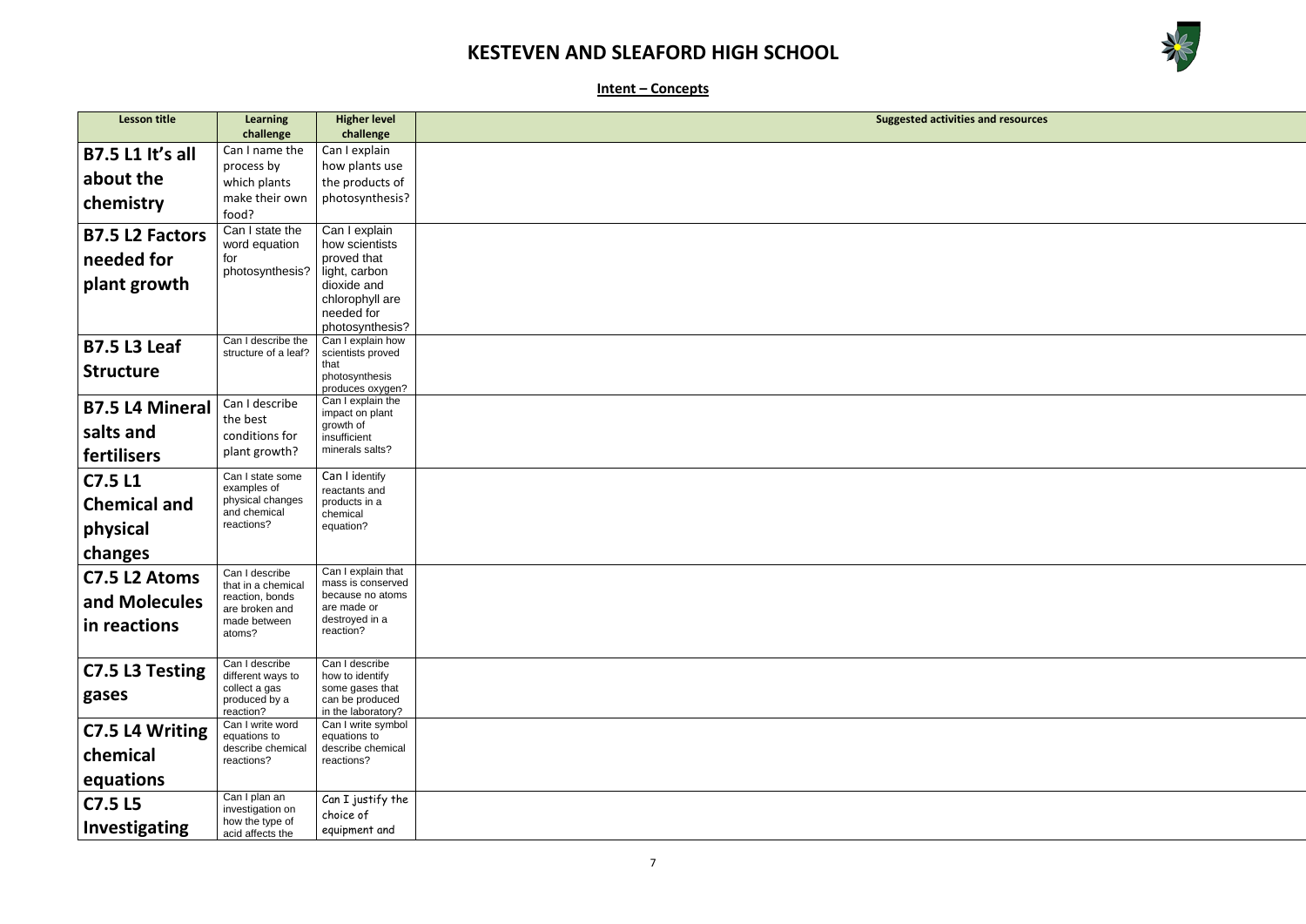

and resources

**Intent – Concepts**

| <b>Lesson title</b>     | <b>Learning</b>                      | <b>Higher level</b>                | <b>Suggested activities are</b> |
|-------------------------|--------------------------------------|------------------------------------|---------------------------------|
|                         | challenge                            | challenge                          |                                 |
| <b>B7.5 L1 It's all</b> | Can I name the                       | Can I explain                      |                                 |
|                         | process by                           | how plants use                     |                                 |
| about the               | which plants                         | the products of                    |                                 |
| chemistry               | make their own                       | photosynthesis?                    |                                 |
|                         | food?                                |                                    |                                 |
| <b>B7.5 L2 Factors</b>  | Can I state the                      | Can I explain                      |                                 |
|                         | word equation                        | how scientists                     |                                 |
| needed for              | for                                  | proved that                        |                                 |
| plant growth            | photosynthesis?                      | light, carbon                      |                                 |
|                         |                                      | dioxide and<br>chlorophyll are     |                                 |
|                         |                                      | needed for                         |                                 |
|                         |                                      | photosynthesis?                    |                                 |
| <b>B7.5 L3 Leaf</b>     | Can I describe the                   | Can I explain how                  |                                 |
|                         | structure of a leaf?                 | scientists proved                  |                                 |
| <b>Structure</b>        |                                      | that<br>photosynthesis             |                                 |
|                         |                                      | produces oxygen?                   |                                 |
| <b>B7.5 L4 Mineral</b>  | Can I describe                       | Can I explain the                  |                                 |
|                         | the best                             | impact on plant<br>growth of       |                                 |
| salts and               | conditions for                       | insufficient                       |                                 |
| <b>fertilisers</b>      | plant growth?                        | minerals salts?                    |                                 |
|                         |                                      |                                    |                                 |
| <b>C7.5 L1</b>          | Can I state some<br>examples of      | Can I identify<br>reactants and    |                                 |
| <b>Chemical and</b>     | physical changes                     | products in a                      |                                 |
|                         | and chemical                         | chemical                           |                                 |
| physical                | reactions?                           | equation?                          |                                 |
| changes                 |                                      |                                    |                                 |
|                         |                                      | Can I explain that                 |                                 |
| C7.5 L2 Atoms           | Can I describe<br>that in a chemical | mass is conserved                  |                                 |
| and Molecules           | reaction, bonds                      | because no atoms                   |                                 |
|                         | are broken and                       | are made or<br>destroyed in a      |                                 |
| in reactions            | made between<br>atoms?               | reaction?                          |                                 |
|                         |                                      |                                    |                                 |
|                         | Can I describe                       | Can I describe                     |                                 |
| C7.5 L3 Testing         | different ways to                    | how to identify                    |                                 |
| gases                   | collect a gas<br>produced by a       | some gases that<br>can be produced |                                 |
|                         | reaction?                            | in the laboratory?                 |                                 |
| C7.5 L4 Writing         | Can I write word                     | Can I write symbol                 |                                 |
|                         | equations to                         | equations to                       |                                 |
| chemical                | describe chemical<br>reactions?      | describe chemical<br>reactions?    |                                 |
|                         |                                      |                                    |                                 |
| equations               |                                      |                                    |                                 |
| <b>C7.5 L5</b>          | Can I plan an<br>investigation on    | Can I justify the                  |                                 |
|                         | how the type of                      | choice of                          |                                 |
| <b>Investigating</b>    | acid affects the                     | equipment and                      |                                 |